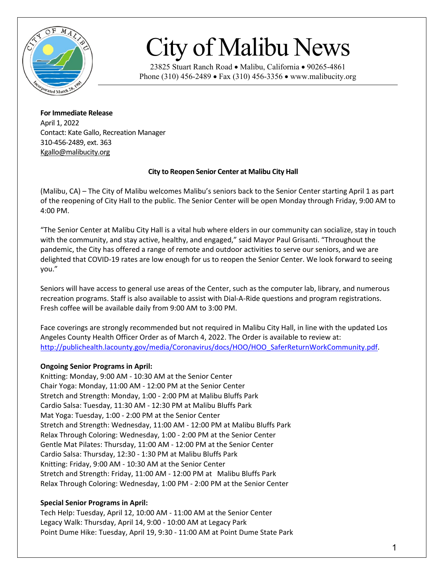

## City of Malibu News

23825 Stuart Ranch Road • Malibu, California • 90265-4861 Phone (310) 456-2489 • Fax (310) 456-3356 • www.malibucity.org

**For Immediate Release** April 1, 2022 Contact: Kate Gallo, Recreation Manager 310-456-2489, ext. 363 Kgallo@malibucity.org

## **City to Reopen Senior Center at Malibu City Hall**

(Malibu, CA) – The City of Malibu welcomes Malibu's seniors back to the Senior Center starting April 1 as part of the reopening of City Hall to the public. The Senior Center will be open Monday through Friday, 9:00 AM to 4:00 PM.

"The Senior Center at Malibu City Hall is a vital hub where elders in our community can socialize, stay in touch with the community, and stay active, healthy, and engaged," said Mayor Paul Grisanti. "Throughout the pandemic, the City has offered a range of remote and outdoor activities to serve our seniors, and we are delighted that COVID-19 rates are low enough for us to reopen the Senior Center. We look forward to seeing you."

Seniors will have access to general use areas of the Center, such as the computer lab, library, and numerous recreation programs. Staff is also available to assist with Dial-A-Ride questions and program registrations. Fresh coffee will be available daily from 9:00 AM to 3:00 PM.

Face coverings are strongly recommended but not required in Malibu City Hall, in line with the updated Los Angeles County Health Officer Order as of March 4, 2022. The Order is available to review at: [http://publichealth.lacounty.gov/media/Coronavirus/docs/HOO/HOO\\_SaferReturnWorkCommunity.pdf.](http://publichealth.lacounty.gov/media/Coronavirus/docs/HOO/HOO_SaferReturnWorkCommunity.pdf)

## **Ongoing Senior Programs in April:**

Knitting: Monday, 9:00 AM - 10:30 AM at the Senior Center Chair Yoga: Monday, 11:00 AM - 12:00 PM at the Senior Center Stretch and Strength: Monday, 1:00 - 2:00 PM at Malibu Bluffs Park Cardio Salsa: Tuesday, 11:30 AM - 12:30 PM at Malibu Bluffs Park Mat Yoga: Tuesday, 1:00 - 2:00 PM at the Senior Center Stretch and Strength: Wednesday, 11:00 AM - 12:00 PM at Malibu Bluffs Park Relax Through Coloring: Wednesday, 1:00 - 2:00 PM at the Senior Center Gentle Mat Pilates: Thursday, 11:00 AM - 12:00 PM at the Senior Center Cardio Salsa: Thursday, 12:30 - 1:30 PM at Malibu Bluffs Park Knitting: Friday, 9:00 AM - 10:30 AM at the Senior Center Stretch and Strength: Friday, 11:00 AM - 12:00 PM at Malibu Bluffs Park Relax Through Coloring: Wednesday, 1:00 PM - 2:00 PM at the Senior Center

## **Special Senior Programs in April:**

Tech Help: Tuesday, April 12, 10:00 AM - 11:00 AM at the Senior Center Legacy Walk: Thursday, April 14, 9:00 - 10:00 AM at Legacy Park Point Dume Hike: Tuesday, April 19, 9:30 - 11:00 AM at Point Dume State Park